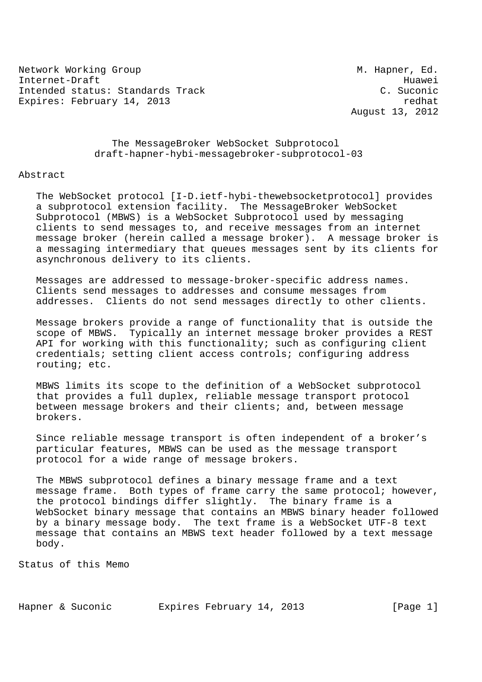Network Working Group M. Hapner, Ed. Internet-Draft<br>Intended status: Standards Track Microsoft C. Suconic Intended status: Standards Track Expires: February 14, 2013 **redhat** 

August 13, 2012

 The MessageBroker WebSocket Subprotocol draft-hapner-hybi-messagebroker-subprotocol-03

#### Abstract

 The WebSocket protocol [I-D.ietf-hybi-thewebsocketprotocol] provides a subprotocol extension facility. The MessageBroker WebSocket Subprotocol (MBWS) is a WebSocket Subprotocol used by messaging clients to send messages to, and receive messages from an internet message broker (herein called a message broker). A message broker is a messaging intermediary that queues messages sent by its clients for asynchronous delivery to its clients.

 Messages are addressed to message-broker-specific address names. Clients send messages to addresses and consume messages from addresses. Clients do not send messages directly to other clients.

 Message brokers provide a range of functionality that is outside the scope of MBWS. Typically an internet message broker provides a REST API for working with this functionality; such as configuring client credentials; setting client access controls; configuring address routing; etc.

 MBWS limits its scope to the definition of a WebSocket subprotocol that provides a full duplex, reliable message transport protocol between message brokers and their clients; and, between message brokers.

 Since reliable message transport is often independent of a broker's particular features, MBWS can be used as the message transport protocol for a wide range of message brokers.

 The MBWS subprotocol defines a binary message frame and a text message frame. Both types of frame carry the same protocol; however, the protocol bindings differ slightly. The binary frame is a WebSocket binary message that contains an MBWS binary header followed by a binary message body. The text frame is a WebSocket UTF-8 text message that contains an MBWS text header followed by a text message body.

Status of this Memo

Hapner & Suconic Expires February 14, 2013 [Page 1]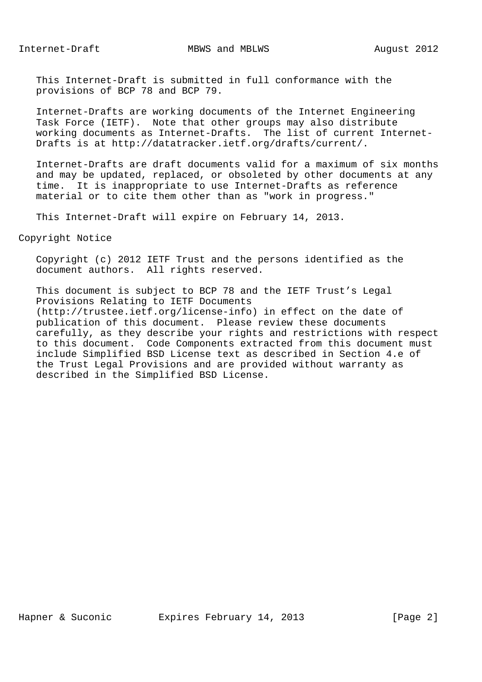This Internet-Draft is submitted in full conformance with the provisions of BCP 78 and BCP 79.

 Internet-Drafts are working documents of the Internet Engineering Task Force (IETF). Note that other groups may also distribute working documents as Internet-Drafts. The list of current Internet- Drafts is at http://datatracker.ietf.org/drafts/current/.

 Internet-Drafts are draft documents valid for a maximum of six months and may be updated, replaced, or obsoleted by other documents at any time. It is inappropriate to use Internet-Drafts as reference material or to cite them other than as "work in progress."

This Internet-Draft will expire on February 14, 2013.

Copyright Notice

 Copyright (c) 2012 IETF Trust and the persons identified as the document authors. All rights reserved.

 This document is subject to BCP 78 and the IETF Trust's Legal Provisions Relating to IETF Documents (http://trustee.ietf.org/license-info) in effect on the date of publication of this document. Please review these documents carefully, as they describe your rights and restrictions with respect to this document. Code Components extracted from this document must include Simplified BSD License text as described in Section 4.e of the Trust Legal Provisions and are provided without warranty as described in the Simplified BSD License.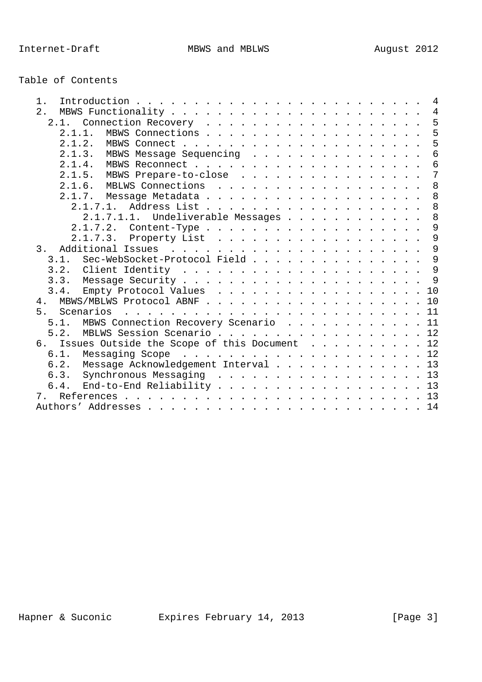| Table of Contents |  |
|-------------------|--|
|-------------------|--|

| 1.                                                 |  |
|----------------------------------------------------|--|
| 2.                                                 |  |
| 2.1. Connection Recovery 5                         |  |
| MBWS Connections 5<br>$2.1.1$ .                    |  |
|                                                    |  |
| 2.1.3. MBWS Message Sequencing 6                   |  |
|                                                    |  |
| 2.1.5. MBWS Prepare-to-close 7                     |  |
| 2.1.6. MBLWS Connections 8                         |  |
|                                                    |  |
| 2.1.7.1. Address List 8                            |  |
| 2.1.7.1.1. Undeliverable Messages 8                |  |
| 2.1.7.2. Content-Type 9                            |  |
| 2.1.7.3. Property List 9                           |  |
| 3.                                                 |  |
| 3.1. Sec-WebSocket-Protocol Field 9                |  |
|                                                    |  |
|                                                    |  |
| 3.4. Empty Protocol Values 10                      |  |
| 4. MBWS/MBLWS Protocol ABNF 10                     |  |
|                                                    |  |
| 5.1. MBWS Connection Recovery Scenario 11          |  |
| 5.2. MBLWS Session Scenario 12                     |  |
| Issues Outside the Scope of this Document 12<br>6. |  |
|                                                    |  |
| 6.2. Message Acknowledgement Interval 13           |  |
| 6.3. Synchronous Messaging 13                      |  |
| 6.4. End-to-End Reliability 13                     |  |
| 7.                                                 |  |
|                                                    |  |
|                                                    |  |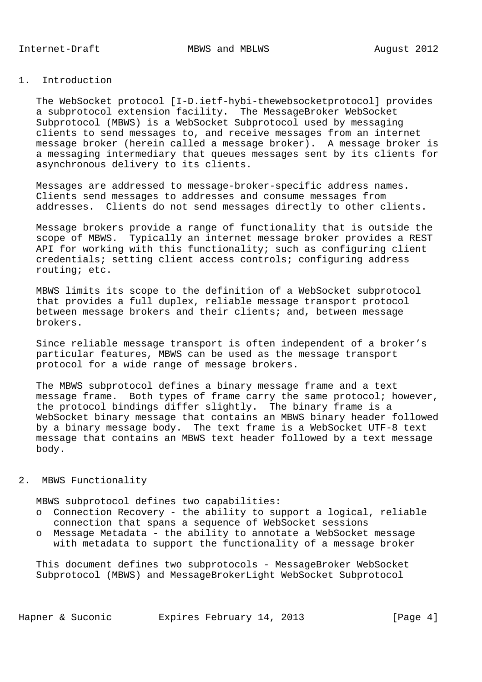### 1. Introduction

 The WebSocket protocol [I-D.ietf-hybi-thewebsocketprotocol] provides a subprotocol extension facility. The MessageBroker WebSocket Subprotocol (MBWS) is a WebSocket Subprotocol used by messaging clients to send messages to, and receive messages from an internet message broker (herein called a message broker). A message broker is a messaging intermediary that queues messages sent by its clients for asynchronous delivery to its clients.

 Messages are addressed to message-broker-specific address names. Clients send messages to addresses and consume messages from addresses. Clients do not send messages directly to other clients.

 Message brokers provide a range of functionality that is outside the scope of MBWS. Typically an internet message broker provides a REST API for working with this functionality; such as configuring client credentials; setting client access controls; configuring address routing; etc.

 MBWS limits its scope to the definition of a WebSocket subprotocol that provides a full duplex, reliable message transport protocol between message brokers and their clients; and, between message brokers.

 Since reliable message transport is often independent of a broker's particular features, MBWS can be used as the message transport protocol for a wide range of message brokers.

 The MBWS subprotocol defines a binary message frame and a text message frame. Both types of frame carry the same protocol; however, the protocol bindings differ slightly. The binary frame is a WebSocket binary message that contains an MBWS binary header followed by a binary message body. The text frame is a WebSocket UTF-8 text message that contains an MBWS text header followed by a text message body.

### 2. MBWS Functionality

MBWS subprotocol defines two capabilities:

- o Connection Recovery the ability to support a logical, reliable connection that spans a sequence of WebSocket sessions
- o Message Metadata the ability to annotate a WebSocket message with metadata to support the functionality of a message broker

 This document defines two subprotocols - MessageBroker WebSocket Subprotocol (MBWS) and MessageBrokerLight WebSocket Subprotocol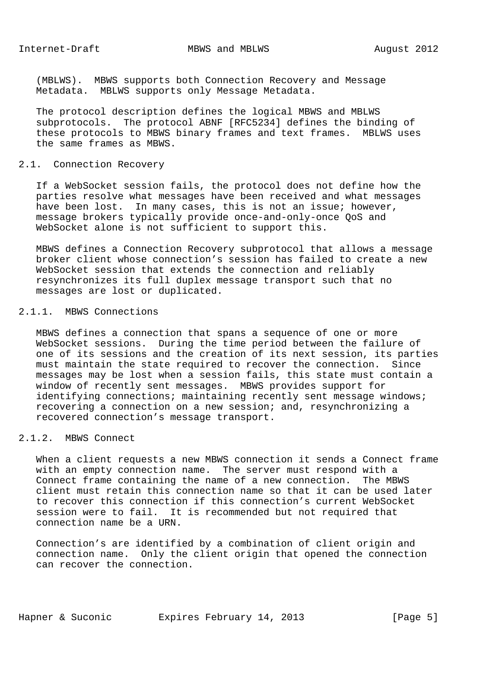(MBLWS). MBWS supports both Connection Recovery and Message Metadata. MBLWS supports only Message Metadata.

 The protocol description defines the logical MBWS and MBLWS subprotocols. The protocol ABNF [RFC5234] defines the binding of these protocols to MBWS binary frames and text frames. MBLWS uses the same frames as MBWS.

# 2.1. Connection Recovery

 If a WebSocket session fails, the protocol does not define how the parties resolve what messages have been received and what messages have been lost. In many cases, this is not an issue; however, message brokers typically provide once-and-only-once QoS and WebSocket alone is not sufficient to support this.

 MBWS defines a Connection Recovery subprotocol that allows a message broker client whose connection's session has failed to create a new WebSocket session that extends the connection and reliably resynchronizes its full duplex message transport such that no messages are lost or duplicated.

### 2.1.1. MBWS Connections

 MBWS defines a connection that spans a sequence of one or more WebSocket sessions. During the time period between the failure of one of its sessions and the creation of its next session, its parties must maintain the state required to recover the connection. Since messages may be lost when a session fails, this state must contain a window of recently sent messages. MBWS provides support for identifying connections; maintaining recently sent message windows; recovering a connection on a new session; and, resynchronizing a recovered connection's message transport.

## 2.1.2. MBWS Connect

 When a client requests a new MBWS connection it sends a Connect frame with an empty connection name. The server must respond with a Connect frame containing the name of a new connection. The MBWS client must retain this connection name so that it can be used later to recover this connection if this connection's current WebSocket session were to fail. It is recommended but not required that connection name be a URN.

 Connection's are identified by a combination of client origin and connection name. Only the client origin that opened the connection can recover the connection.

Hapner & Suconic Expires February 14, 2013 [Page 5]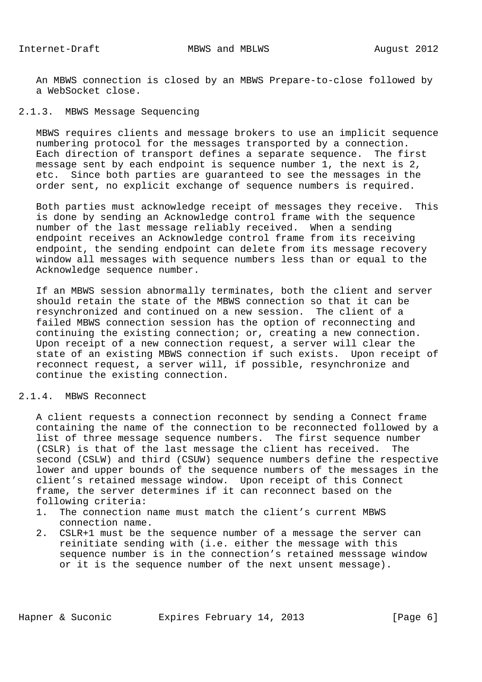An MBWS connection is closed by an MBWS Prepare-to-close followed by a WebSocket close.

## 2.1.3. MBWS Message Sequencing

 MBWS requires clients and message brokers to use an implicit sequence numbering protocol for the messages transported by a connection. Each direction of transport defines a separate sequence. The first message sent by each endpoint is sequence number 1, the next is 2, etc. Since both parties are guaranteed to see the messages in the order sent, no explicit exchange of sequence numbers is required.

 Both parties must acknowledge receipt of messages they receive. This is done by sending an Acknowledge control frame with the sequence number of the last message reliably received. When a sending endpoint receives an Acknowledge control frame from its receiving endpoint, the sending endpoint can delete from its message recovery window all messages with sequence numbers less than or equal to the Acknowledge sequence number.

 If an MBWS session abnormally terminates, both the client and server should retain the state of the MBWS connection so that it can be resynchronized and continued on a new session. The client of a failed MBWS connection session has the option of reconnecting and continuing the existing connection; or, creating a new connection. Upon receipt of a new connection request, a server will clear the state of an existing MBWS connection if such exists. Upon receipt of reconnect request, a server will, if possible, resynchronize and continue the existing connection.

## 2.1.4. MBWS Reconnect

 A client requests a connection reconnect by sending a Connect frame containing the name of the connection to be reconnected followed by a list of three message sequence numbers. The first sequence number (CSLR) is that of the last message the client has received. The second (CSLW) and third (CSUW) sequence numbers define the respective lower and upper bounds of the sequence numbers of the messages in the client's retained message window. Upon receipt of this Connect frame, the server determines if it can reconnect based on the following criteria:

- 1. The connection name must match the client's current MBWS connection name.
- 2. CSLR+1 must be the sequence number of a message the server can reinitiate sending with (i.e. either the message with this sequence number is in the connection's retained messsage window or it is the sequence number of the next unsent message).

Hapner & Suconic Expires February 14, 2013 [Page 6]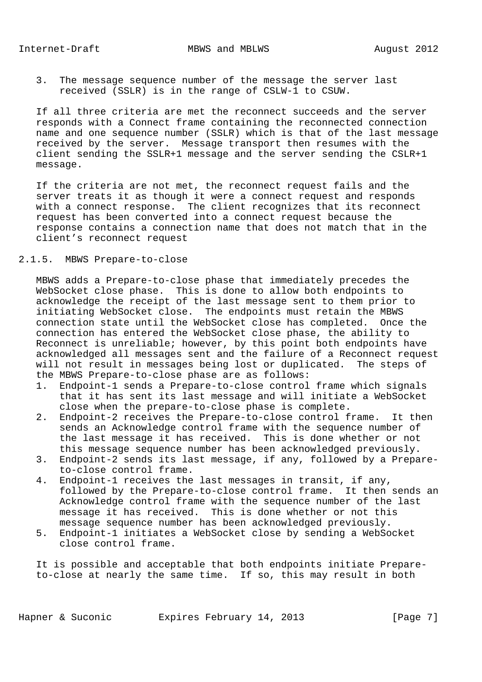3. The message sequence number of the message the server last received (SSLR) is in the range of CSLW-1 to CSUW.

 If all three criteria are met the reconnect succeeds and the server responds with a Connect frame containing the reconnected connection name and one sequence number (SSLR) which is that of the last message received by the server. Message transport then resumes with the client sending the SSLR+1 message and the server sending the CSLR+1 message.

 If the criteria are not met, the reconnect request fails and the server treats it as though it were a connect request and responds with a connect response. The client recognizes that its reconnect request has been converted into a connect request because the response contains a connection name that does not match that in the client's reconnect request

## 2.1.5. MBWS Prepare-to-close

 MBWS adds a Prepare-to-close phase that immediately precedes the WebSocket close phase. This is done to allow both endpoints to acknowledge the receipt of the last message sent to them prior to initiating WebSocket close. The endpoints must retain the MBWS connection state until the WebSocket close has completed. Once the connection has entered the WebSocket close phase, the ability to Reconnect is unreliable; however, by this point both endpoints have acknowledged all messages sent and the failure of a Reconnect request will not result in messages being lost or duplicated. The steps of the MBWS Prepare-to-close phase are as follows:

- 1. Endpoint-1 sends a Prepare-to-close control frame which signals that it has sent its last message and will initiate a WebSocket close when the prepare-to-close phase is complete.
- 2. Endpoint-2 receives the Prepare-to-close control frame. It then sends an Acknowledge control frame with the sequence number of the last message it has received. This is done whether or not this message sequence number has been acknowledged previously.
- 3. Endpoint-2 sends its last message, if any, followed by a Prepare to-close control frame.
- 4. Endpoint-1 receives the last messages in transit, if any, followed by the Prepare-to-close control frame. It then sends an Acknowledge control frame with the sequence number of the last message it has received. This is done whether or not this message sequence number has been acknowledged previously.
- 5. Endpoint-1 initiates a WebSocket close by sending a WebSocket close control frame.

 It is possible and acceptable that both endpoints initiate Prepare to-close at nearly the same time. If so, this may result in both

Hapner & Suconic Expires February 14, 2013 [Page 7]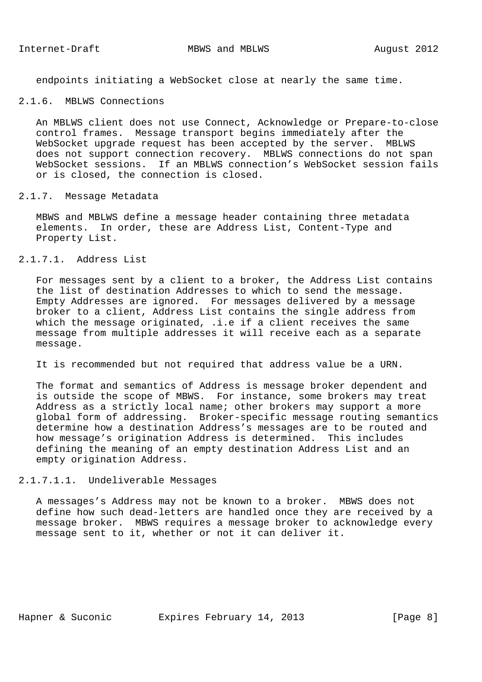endpoints initiating a WebSocket close at nearly the same time.

## 2.1.6. MBLWS Connections

 An MBLWS client does not use Connect, Acknowledge or Prepare-to-close control frames. Message transport begins immediately after the WebSocket upgrade request has been accepted by the server. MBLWS does not support connection recovery. MBLWS connections do not span WebSocket sessions. If an MBLWS connection's WebSocket session fails or is closed, the connection is closed.

#### 2.1.7. Message Metadata

 MBWS and MBLWS define a message header containing three metadata elements. In order, these are Address List, Content-Type and Property List.

# 2.1.7.1. Address List

 For messages sent by a client to a broker, the Address List contains the list of destination Addresses to which to send the message. Empty Addresses are ignored. For messages delivered by a message broker to a client, Address List contains the single address from which the message originated, .i.e if a client receives the same message from multiple addresses it will receive each as a separate message.

It is recommended but not required that address value be a URN.

 The format and semantics of Address is message broker dependent and is outside the scope of MBWS. For instance, some brokers may treat Address as a strictly local name; other brokers may support a more global form of addressing. Broker-specific message routing semantics determine how a destination Address's messages are to be routed and how message's origination Address is determined. This includes defining the meaning of an empty destination Address List and an empty origination Address.

### 2.1.7.1.1. Undeliverable Messages

 A messages's Address may not be known to a broker. MBWS does not define how such dead-letters are handled once they are received by a message broker. MBWS requires a message broker to acknowledge every message sent to it, whether or not it can deliver it.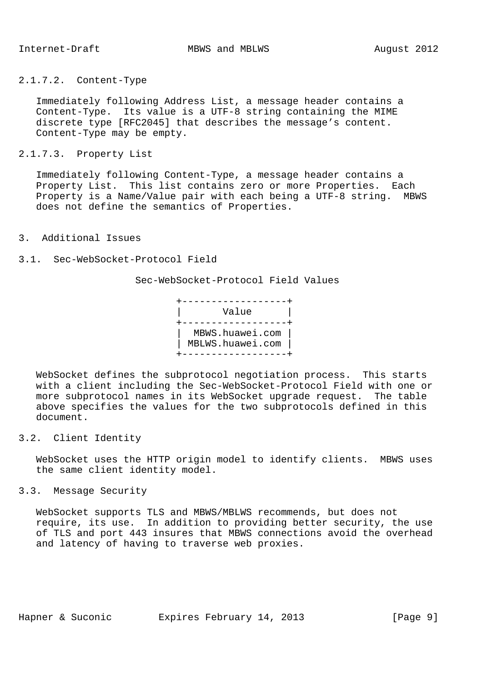## 2.1.7.2. Content-Type

 Immediately following Address List, a message header contains a Content-Type. Its value is a UTF-8 string containing the MIME discrete type [RFC2045] that describes the message's content. Content-Type may be empty.

2.1.7.3. Property List

 Immediately following Content-Type, a message header contains a Property List. This list contains zero or more Properties. Each Property is a Name/Value pair with each being a UTF-8 string. MBWS does not define the semantics of Properties.

- 3. Additional Issues
- 3.1. Sec-WebSocket-Protocol Field

Sec-WebSocket-Protocol Field Values

| Value                               |
|-------------------------------------|
| MBWS.huawei.com<br>MBLWS.huawei.com |

 WebSocket defines the subprotocol negotiation process. This starts with a client including the Sec-WebSocket-Protocol Field with one or more subprotocol names in its WebSocket upgrade request. The table above specifies the values for the two subprotocols defined in this document.

3.2. Client Identity

 WebSocket uses the HTTP origin model to identify clients. MBWS uses the same client identity model.

3.3. Message Security

 WebSocket supports TLS and MBWS/MBLWS recommends, but does not require, its use. In addition to providing better security, the use of TLS and port 443 insures that MBWS connections avoid the overhead and latency of having to traverse web proxies.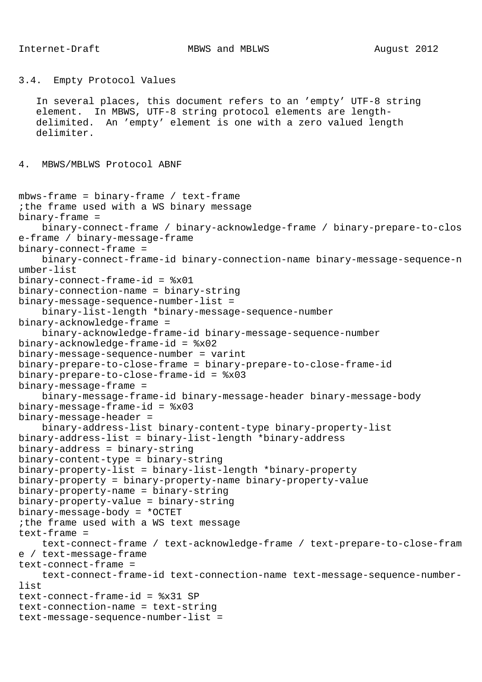Internet-Draft MBWS and MBLWS MBLWS August 2012

```
3.4. Empty Protocol Values
    In several places, this document refers to an 'empty' UTF-8 string
    element. In MBWS, UTF-8 string protocol elements are length-
    delimited. An 'empty' element is one with a zero valued length
    delimiter.
4. MBWS/MBLWS Protocol ABNF
mbws-frame = binary-frame / text-frame
;the frame used with a WS binary message
binary-frame =
     binary-connect-frame / binary-acknowledge-frame / binary-prepare-to-clos
e-frame / binary-message-frame
binary-connect-frame =
     binary-connect-frame-id binary-connection-name binary-message-sequence-n
umber-list
binary-connect-frame-id = %x01
binary-connection-name = binary-string
binary-message-sequence-number-list =
     binary-list-length *binary-message-sequence-number
binary-acknowledge-frame =
     binary-acknowledge-frame-id binary-message-sequence-number
binary-acknowledge-frame-id = %x02
binary-message-sequence-number = varint
binary-prepare-to-close-frame = binary-prepare-to-close-frame-id
binary-prepare-to-close-frame-id = %x03
binary-message-frame =
     binary-message-frame-id binary-message-header binary-message-body
binary-message-frame-id = %x03
binary-message-header =
     binary-address-list binary-content-type binary-property-list
binary-address-list = binary-list-length *binary-address
binary-address = binary-string
binary-content-type = binary-string
binary-property-list = binary-list-length *binary-property
binary-property = binary-property-name binary-property-value
binary-property-name = binary-string
binary-property-value = binary-string
binary-message-body = *OCTET
;the frame used with a WS text message
text-frame =
     text-connect-frame / text-acknowledge-frame / text-prepare-to-close-fram
e / text-message-frame
text-connect-frame =
     text-connect-frame-id text-connection-name text-message-sequence-number-
list
text-connect-frame-id = %x31 SP
text-connection-name = text-string
text-message-sequence-number-list =
```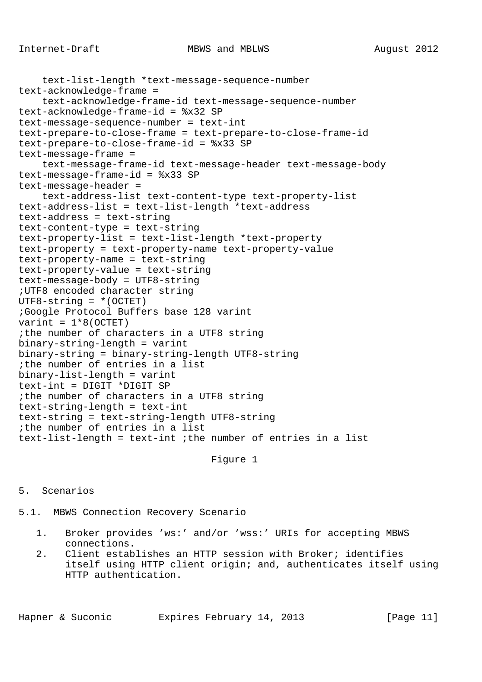```
 text-list-length *text-message-sequence-number
text-acknowledge-frame =
     text-acknowledge-frame-id text-message-sequence-number
text-acknowledge-frame-id = %x32 SP
text-message-sequence-number = text-int
text-prepare-to-close-frame = text-prepare-to-close-frame-id
text-prepare-to-close-frame-id = %x33 SP
text-message-frame =
     text-message-frame-id text-message-header text-message-body
text-message-frame-id = %x33 SP
text-message-header =
     text-address-list text-content-type text-property-list
text-address-list = text-list-length *text-address
text-address = text-string
text-content-type = text-string
text-property-list = text-list-length *text-property
text-property = text-property-name text-property-value
text-property-name = text-string
text-property-value = text-string
text-message-body = UTF8-string
;UTF8 encoded character string
UTF8-string = * (OCTET);Google Protocol Buffers base 128 varint
varint = 1*8 (OCTET)
;the number of characters in a UTF8 string
binary-string-length = varint
binary-string = binary-string-length UTF8-string
;the number of entries in a list
binary-list-length = varint
text-int = DIGIT *DIGIT SP
;the number of characters in a UTF8 string
text-string-length = text-int
text-string = text-string-length UTF8-string
;the number of entries in a list
text-list-length = text-int ;the number of entries in a list
```
Figure 1

## 5. Scenarios

5.1. MBWS Connection Recovery Scenario

- 1. Broker provides 'ws:' and/or 'wss:' URIs for accepting MBWS connections.
- 2. Client establishes an HTTP session with Broker; identifies itself using HTTP client origin; and, authenticates itself using HTTP authentication.

Hapner & Suconic Fxpires February 14, 2013 [Page 11]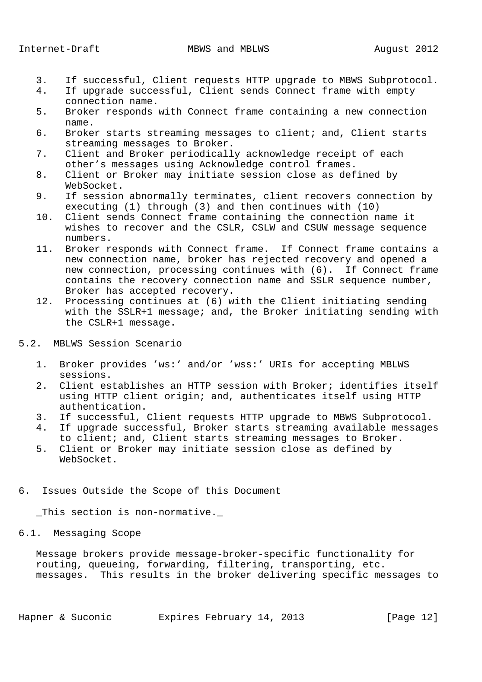- 3. If successful, Client requests HTTP upgrade to MBWS Subprotocol.
- 4. If upgrade successful, Client sends Connect frame with empty connection name.<br>5. Broker responds
- 5. Broker responds with Connect frame containing a new connection name.
- 6. Broker starts streaming messages to client; and, Client starts streaming messages to Broker.
- 7. Client and Broker periodically acknowledge receipt of each other's messages using Acknowledge control frames.
- 8. Client or Broker may initiate session close as defined by WebSocket.
- 9. If session abnormally terminates, client recovers connection by executing (1) through (3) and then continues with (10)
- 10. Client sends Connect frame containing the connection name it wishes to recover and the CSLR, CSLW and CSUW message sequence numbers.
- 11. Broker responds with Connect frame. If Connect frame contains a new connection name, broker has rejected recovery and opened a new connection, processing continues with (6). If Connect frame contains the recovery connection name and SSLR sequence number, Broker has accepted recovery.
- 12. Processing continues at (6) with the Client initiating sending with the SSLR+1 message; and, the Broker initiating sending with the CSLR+1 message.
- 5.2. MBLWS Session Scenario
	- 1. Broker provides 'ws:' and/or 'wss:' URIs for accepting MBLWS sessions.
	- 2. Client establishes an HTTP session with Broker; identifies itself using HTTP client origin; and, authenticates itself using HTTP authentication.
	- 3. If successful, Client requests HTTP upgrade to MBWS Subprotocol.
	- 4. If upgrade successful, Broker starts streaming available messages to client; and, Client starts streaming messages to Broker.
	- 5. Client or Broker may initiate session close as defined by WebSocket.
- 6. Issues Outside the Scope of this Document

This section is non-normative.

## 6.1. Messaging Scope

 Message brokers provide message-broker-specific functionality for routing, queueing, forwarding, filtering, transporting, etc. messages. This results in the broker delivering specific messages to

Hapner & Suconic Expires February 14, 2013 [Page 12]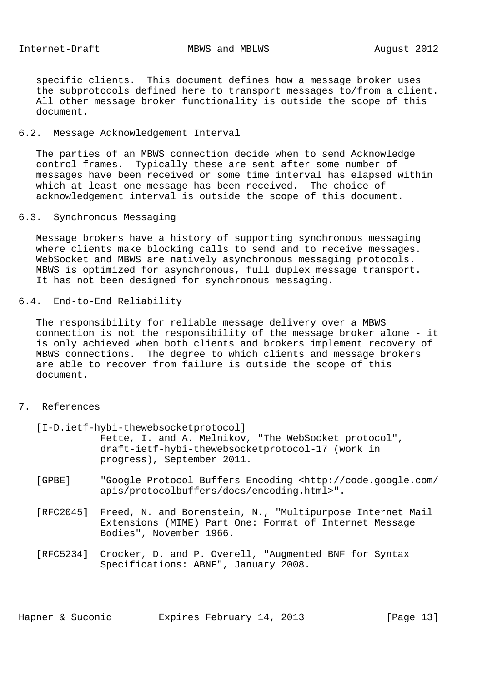specific clients. This document defines how a message broker uses the subprotocols defined here to transport messages to/from a client. All other message broker functionality is outside the scope of this document.

#### 6.2. Message Acknowledgement Interval

 The parties of an MBWS connection decide when to send Acknowledge control frames. Typically these are sent after some number of messages have been received or some time interval has elapsed within which at least one message has been received. The choice of acknowledgement interval is outside the scope of this document.

6.3. Synchronous Messaging

 Message brokers have a history of supporting synchronous messaging where clients make blocking calls to send and to receive messages. WebSocket and MBWS are natively asynchronous messaging protocols. MBWS is optimized for asynchronous, full duplex message transport. It has not been designed for synchronous messaging.

6.4. End-to-End Reliability

 The responsibility for reliable message delivery over a MBWS connection is not the responsibility of the message broker alone - it is only achieved when both clients and brokers implement recovery of MBWS connections. The degree to which clients and message brokers are able to recover from failure is outside the scope of this document.

## 7. References

[I-D.ietf-hybi-thewebsocketprotocol]

 Fette, I. and A. Melnikov, "The WebSocket protocol", draft-ietf-hybi-thewebsocketprotocol-17 (work in progress), September 2011.

- [GPBE] "Google Protocol Buffers Encoding <http://code.google.com/ apis/protocolbuffers/docs/encoding.html>".
- [RFC2045] Freed, N. and Borenstein, N., "Multipurpose Internet Mail Extensions (MIME) Part One: Format of Internet Message Bodies", November 1966.
- [RFC5234] Crocker, D. and P. Overell, "Augmented BNF for Syntax Specifications: ABNF", January 2008.